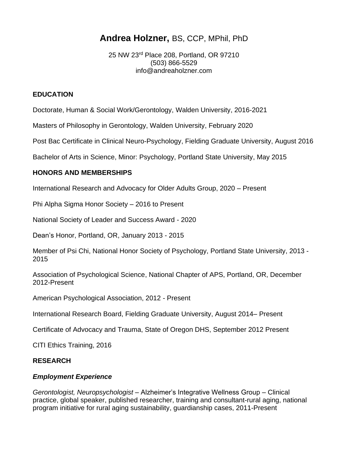# **Andrea Holzner,** BS, CCP, MPhil, PhD

25 NW 23rd Place 208, Portland, OR 97210 (503) 866-5529 info@andreaholzner.com

#### **EDUCATION**

Doctorate, Human & Social Work/Gerontology, Walden University, 2016-2021

Masters of Philosophy in Gerontology, Walden University, February 2020

Post Bac Certificate in Clinical Neuro-Psychology, Fielding Graduate University, August 2016

Bachelor of Arts in Science, Minor: Psychology, Portland State University, May 2015

## **HONORS AND MEMBERSHIPS**

International Research and Advocacy for Older Adults Group, 2020 – Present

Phi Alpha Sigma Honor Society – 2016 to Present

National Society of Leader and Success Award - 2020

Dean's Honor, Portland, OR, January 2013 - 2015

Member of Psi Chi, National Honor Society of Psychology, Portland State University, 2013 - 2015

Association of Psychological Science, National Chapter of APS, Portland, OR, December 2012-Present

American Psychological Association, 2012 - Present

International Research Board, Fielding Graduate University, August 2014– Present

Certificate of Advocacy and Trauma, State of Oregon DHS, September 2012 Present

CITI Ethics Training, 2016

## **RESEARCH**

## *Employment Experience*

*Gerontologist, Neuropsychologist –* Alzheimer's Integrative Wellness Group – Clinical practice, global speaker, published researcher, training and consultant-rural aging, national program initiative for rural aging sustainability, guardianship cases, 2011-Present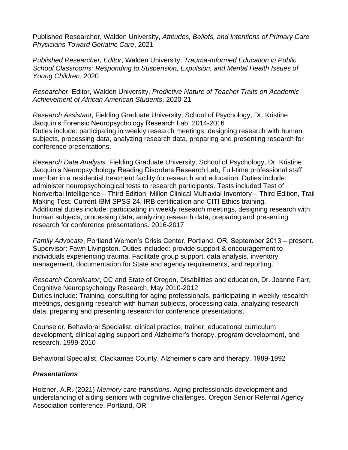Published Researcher, Walden University, *Attitudes, Beliefs, and Intentions of Primary Care Physicians Toward Geriatric Care*, 2021

*Published Researcher, Editor*, Walden University, *Trauma-Informed Education in Public School Classrooms: Responding to Suspension, Expulsion, and Mental Health Issues of Young Children*. 2020

*Researcher*, Editor, Walden University, *Predictive Nature of Teacher Traits on Academic Achievement of African American Students*. 2020-21

*Research Assistant*, Fielding Graduate University, School of Psychology, Dr. Kristine Jacquin's Forensic Neuropsychology Research Lab, 2014-2016 Duties include: participating in weekly research meetings, designing research with human subjects, processing data, analyzing research data, preparing and presenting research for conference presentations.

*Research Data Analysis,* Fielding Graduate University, School of Psychology, Dr. Kristine Jacquin's Neuropsychology Reading Disorders Research Lab, Full-time professional staff member in a residential treatment facility for research and education. Duties include: administer neuropsychological tests to research participants. Tests included Test of Nonverbal Intelligence – Third Edition, Millon Clinical Multiaxial Inventory – Third Edition, Trail Making Test. Current IBM SPSS 24. IRB certification and CITI Ethics training. Additional duties include: participating in weekly research meetings, designing research with human subjects, processing data, analyzing research data, preparing and presenting research for conference presentations. 2016-2017

*Family Advocate*, Portland Women's Crisis Center, Portland, OR, September 2013 – present. Supervisor: Fawn Livingston. Duties included: provide support & encouragement to individuals experiencing trauma. Facilitate group support, data analysis, inventory management, documentation for State and agency requirements, and reporting.

*Research Coordinator*, CC and State of Oregon, Disabilities and education, Dr. Jeanne Farr, Cognitive Neuropsychology Research, May 2010-2012 Duties include: Training, consulting for aging professionals, participating in weekly research meetings, designing research with human subjects, processing data, analyzing research data, preparing and presenting research for conference presentations.

Counselor, Behavioral Specialist, clinical practice, trainer, educational curriculum development, clinical aging support and Alzheimer's therapy, program development, and research, 1999-2010

Behavioral Specialist, Clackamas County, Alzheimer's care and therapy. 1989-1992

#### *Presentations*

Holzner, A.R. (2021) *Memory care transitions*. Aging professionals development and understanding of aiding seniors with cognitive challenges. Oregon Senior Referral Agency Association conference. Portland, OR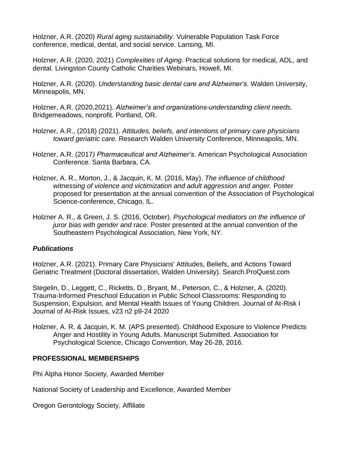Holzner, A.R. (2020) *Rural aging sustainability*. Vulnerable Population Task Force conference, medical, dental, and social service. Lansing, MI.

Holzner, A.R. (2020, 2021) *Complexities of Aging*. Practical solutions for medical, ADL, and dental. Livingston County Catholic Charities Webinars, Howell, MI.

Holzner, A.R. (2020). *Understanding basic dental care and Alzheimer's*. Walden University, Minneapolis, MN.

Holzner, A.R. (2020,2021). *Alzheimer's and organizations-understanding client needs.* Bridgemeadows, nonprofit. Portland, OR*.* 

- Holzner, A.R., (2018) (2021). *Attitudes, beliefs, and intentions of primary care physicians toward geriatric care.* Research Walden University Conference, Minneapolis, MN.
- Holzner, A.R. (2017*) Pharmaceutical and Alzheimer's*. American Psychological Association Conference. Santa Barbara, CA.
- Holzner, A. R., Morton, J., & Jacquin, K. M. (2016, May). *The influence of childhood witnessing of violence and victimization and adult aggression and anger.* Poster proposed for presentation at the annual convention of the Association of Psychological Science-conference, Chicago, IL.
- Holzner A. R., & Green, J. S. (2016, October). *Psychological mediators on the influence of juror bias with gender and race.* Poster presented at the annual convention of the Southeastern Psychological Association, New York, NY.

## *Publications*

[Holzner, A.R. \(2021\). Primary Care Physicians' Attitudes, Beliefs, and Actions Toward](https://www.proquest.com/openview/d987961f90552fa6571281a79701378e/1?pq-origsite=gscholar&cbl=18750&diss=y)  [Geriatric Treatment \(Doctoral dissertation, Walden University\).](https://www.proquest.com/openview/d987961f90552fa6571281a79701378e/1?pq-origsite=gscholar&cbl=18750&diss=y) Search.ProQuest.com

[Stegelin, D., Leggett, C., Ricketts, D., Bryant, M., Peterson, C., & Holzner, A. \(2020\).](https://eric.ed.gov/?id=EJ1286553)  [Trauma-Informed Preschool Education in Public School Classrooms: Responding to](https://eric.ed.gov/?id=EJ1286553)  [Suspension, Expulsion, and Mental Health Issues of Young Children.](https://eric.ed.gov/?id=EJ1286553) Journal of At-Risk I Journal of At-Risk Issues, v23 n2 p9-24 2020

Holzner, A. R, & Jacquin, K. M. (APS presented). Childhood Exposure to Violence Predicts Anger and Hostility in Young Adults. Manuscript Submitted. Association for Psychological Science, Chicago Convention, May 26-28, 2016.

#### **PROFESSIONAL MEMBERSHIPS**

Phi Alpha Honor Society, Awarded Member

National Society of Leadership and Excellence, Awarded Member

Oregon Gerontology Society, Affiliate